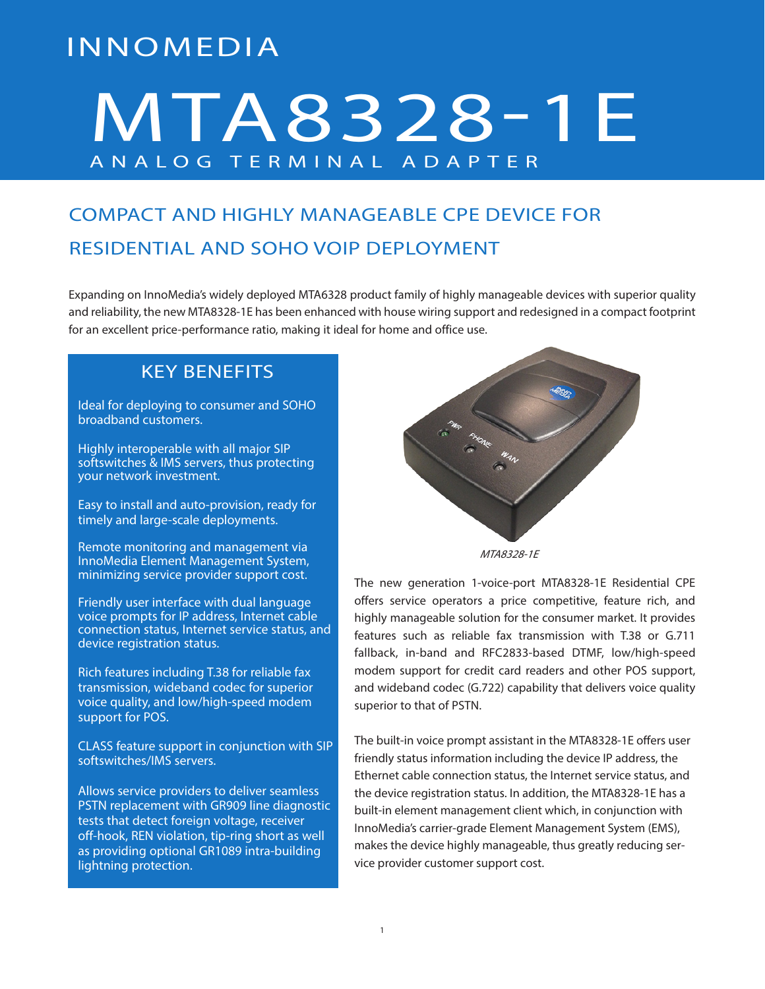# INNOMEDIA

# MTA8328-1E ANALOG TERMINAL ADAPTER

## COMPACT AND HIGHLY MANAGEABLE CPE DEVICE FOR RESIDENTIAL AND SOHO VOIP DEPLOYMENT

Expanding on InnoMedia's widely deployed MTA6328 product family of highly manageable devices with superior quality and reliability, the new MTA8328-1E has been enhanced with house wiring support and redesigned in a compact footprint for an excellent price-performance ratio, making it ideal for home and office use.

## KEY BENEFITS

Ideal for deploying to consumer and SOHO broadband customers.

Highly interoperable with all major SIP softswitches & IMS servers, thus protecting your network investment.

Easy to install and auto-provision, ready for timely and large-scale deployments.

Remote monitoring and management via InnoMedia Element Management System, minimizing service provider support cost.

Friendly user interface with dual language voice prompts for IP address, Internet cable connection status, Internet service status, and device registration status.

Rich features including T.38 for reliable fax transmission, wideband codec for superior voice quality, and low/high-speed modem support for POS.

CLASS feature support in conjunction with SIP softswitches/IMS servers.

Allows service providers to deliver seamless PSTN replacement with GR909 line diagnostic tests that detect foreign voltage, receiver off-hook, REN violation, tip-ring short as well as providing optional GR1089 intra-building lightning protection.



MTA8328-1E

The new generation 1-voice-port MTA8328-1E Residential CPE offers service operators a price competitive, feature rich, and highly manageable solution for the consumer market. It provides features such as reliable fax transmission with T.38 or G.711 fallback, in-band and RFC2833-based DTMF, low/high-speed modem support for credit card readers and other POS support, and wideband codec (G.722) capability that delivers voice quality superior to that of PSTN.

The built-in voice prompt assistant in the MTA8328-1E offers user friendly status information including the device IP address, the Ethernet cable connection status, the Internet service status, and the device registration status. In addition, the MTA8328-1E has a built-in element management client which, in conjunction with InnoMedia's carrier-grade Element Management System (EMS), makes the device highly manageable, thus greatly reducing service provider customer support cost.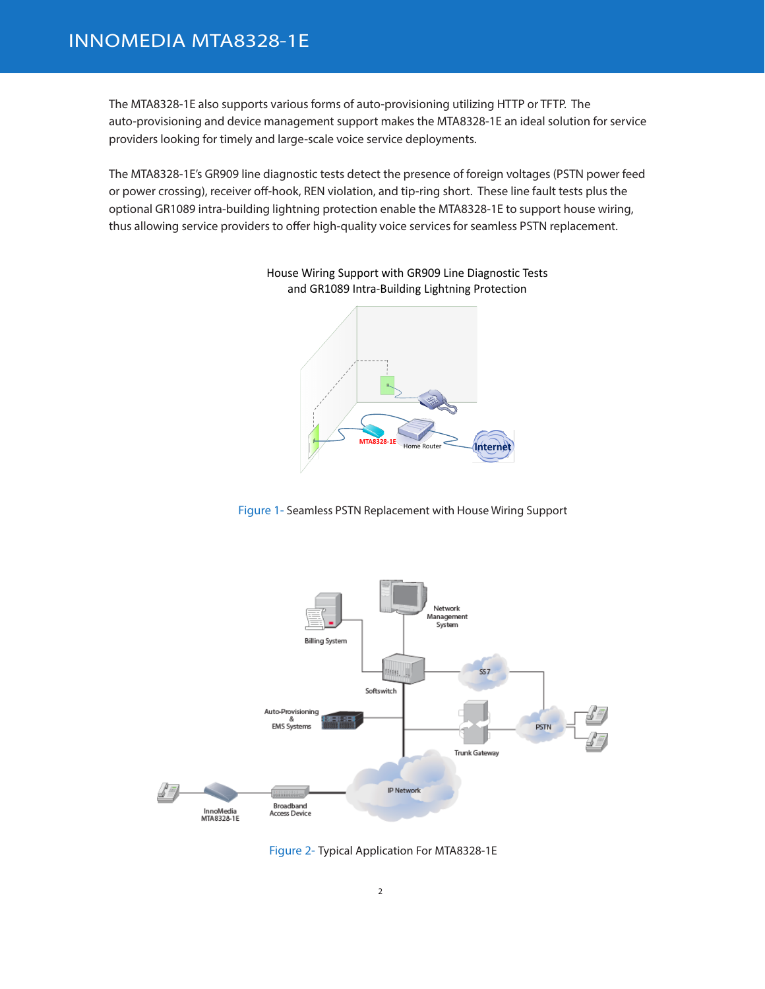The MTA8328-1E also supports various forms of auto-provisioning utilizing HTTP or TFTP. The auto-provisioning and device management support makes the MTA8328-1E an ideal solution for service providers looking for timely and large-scale voice service deployments.

The MTA8328-1E's GR909 line diagnostic tests detect the presence of foreign voltages (PSTN power feed or power crossing), receiver off-hook, REN violation, and tip-ring short. These line fault tests plus the optional GR1089 intra-building lightning protection enable the MTA8328-1E to support house wiring, thus allowing service providers to offer high-quality voice services for seamless PSTN replacement.



House Wiring Support with GR909 Line Diagnostic Tests and GR1089 Intra-Building Lightning Protection

Figure 1- Seamless PSTN Replacement with House Wiring Support



Figure 2- Typical Application For MTA8328-1E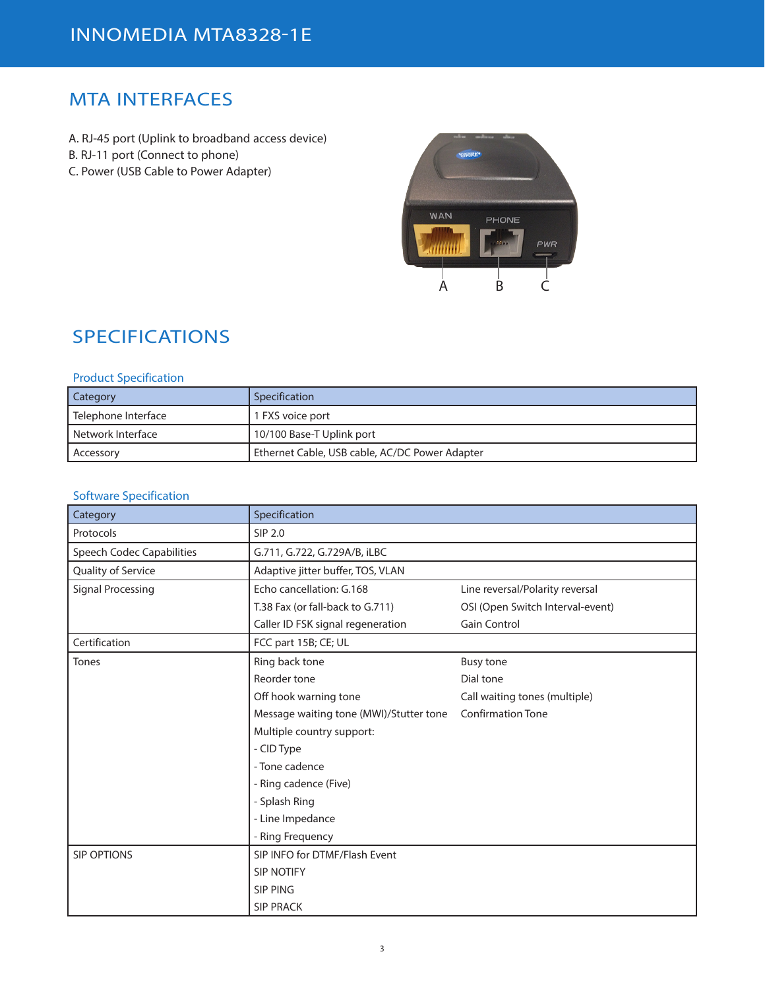## MTA INTERFACES

A. RJ-45 port (Uplink to broadband access device) B. RJ-11 port (Connect to phone) C. Power (USB Cable to Power Adapter)



## SPECIFICATIONS

#### Product Specification

| <b>Category</b>       | Specification                                  |
|-----------------------|------------------------------------------------|
| l Telephone Interface | 1 FXS voice port                               |
| l Network Interface   | 10/100 Base-T Uplink port                      |
| Accessory             | Ethernet Cable, USB cable, AC/DC Power Adapter |

#### Software Specification

| Category                         | Specification                           |                                  |
|----------------------------------|-----------------------------------------|----------------------------------|
| Protocols                        | SIP 2.0                                 |                                  |
| <b>Speech Codec Capabilities</b> | G.711, G.722, G.729A/B, iLBC            |                                  |
| Quality of Service               | Adaptive jitter buffer, TOS, VLAN       |                                  |
| <b>Signal Processing</b>         | Echo cancellation: G.168                | Line reversal/Polarity reversal  |
|                                  | T.38 Fax (or fall-back to G.711)        | OSI (Open Switch Interval-event) |
|                                  | Caller ID FSK signal regeneration       | <b>Gain Control</b>              |
| Certification                    | FCC part 15B; CE; UL                    |                                  |
| Tones                            | Ring back tone                          | <b>Busy tone</b>                 |
|                                  | Reorder tone                            | Dial tone                        |
|                                  | Off hook warning tone                   | Call waiting tones (multiple)    |
|                                  | Message waiting tone (MWI)/Stutter tone | <b>Confirmation Tone</b>         |
|                                  | Multiple country support:               |                                  |
|                                  | - CID Type                              |                                  |
|                                  | - Tone cadence                          |                                  |
|                                  | - Ring cadence (Five)                   |                                  |
|                                  | - Splash Ring                           |                                  |
|                                  | - Line Impedance                        |                                  |
|                                  | - Ring Frequency                        |                                  |
| <b>SIP OPTIONS</b>               | SIP INFO for DTMF/Flash Event           |                                  |
|                                  | <b>SIP NOTIFY</b>                       |                                  |
|                                  | <b>SIP PING</b>                         |                                  |
|                                  | <b>SIP PRACK</b>                        |                                  |